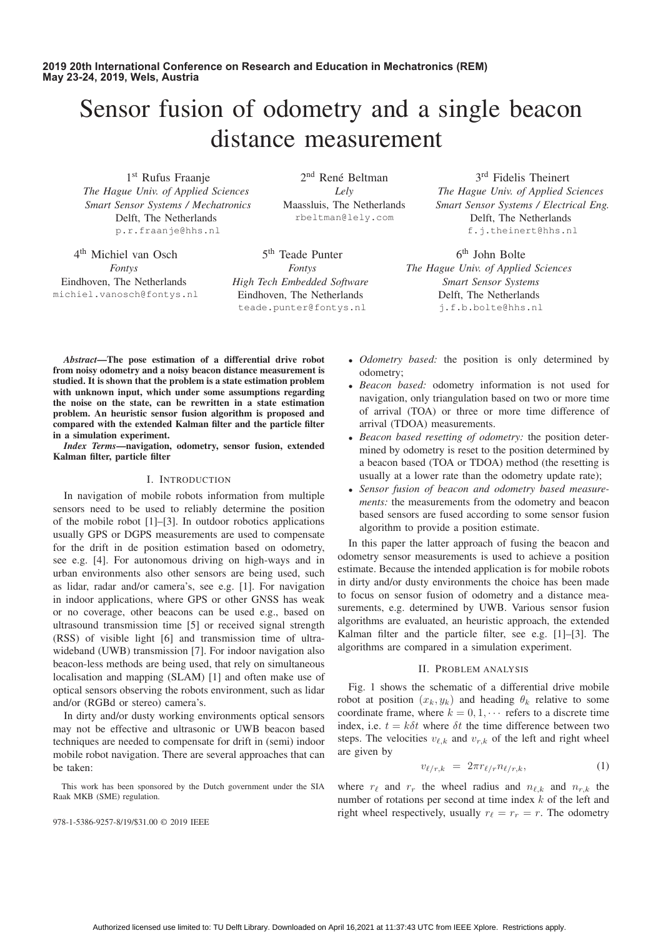# Sensor fusion of odometry and a single beacon distance measurement

1<sup>st</sup> Rufus Fraanje *The Hague Univ. of Applied Sciences Smart Sensor Systems / Mechatronics* Delft, The Netherlands p.r.fraanje@hhs.nl

4th Michiel van Osch *Fontys* Eindhoven, The Netherlands michiel.vanosch@fontys.nl

2<sup>nd</sup> René Beltman *Lely* Maassluis, The Netherlands rbeltman@lely.com

5<sup>th</sup> Teade Punter *Fontys High Tech Embedded Software* Eindhoven, The Netherlands teade.punter@fontys.nl

3rd Fidelis Theinert *The Hague Univ. of Applied Sciences Smart Sensor Systems / Electrical Eng.* Delft, The Netherlands f.j.theinert@hhs.nl

6th John Bolte *The Hague Univ. of Applied Sciences Smart Sensor Systems* Delft, The Netherlands j.f.b.bolte@hhs.nl

*Abstract*—The pose estimation of a differential drive robot from noisy odometry and a noisy beacon distance measurement is studied. It is shown that the problem is a state estimation problem with unknown input, which under some assumptions regarding the noise on the state, can be rewritten in a state estimation problem. An heuristic sensor fusion algorithm is proposed and compared with the extended Kalman filter and the particle filter in a simulation experiment.

*Index Terms*—navigation, odometry, sensor fusion, extended Kalman filter, particle filter

### I. INTRODUCTION

In navigation of mobile robots information from multiple sensors need to be used to reliably determine the position of the mobile robot [1]–[3]. In outdoor robotics applications usually GPS or DGPS measurements are used to compensate for the drift in de position estimation based on odometry, see e.g. [4]. For autonomous driving on high-ways and in urban environments also other sensors are being used, such as lidar, radar and/or camera's, see e.g. [1]. For navigation in indoor applications, where GPS or other GNSS has weak or no coverage, other beacons can be used e.g., based on ultrasound transmission time [5] or received signal strength (RSS) of visible light [6] and transmission time of ultrawideband (UWB) transmission [7]. For indoor navigation also beacon-less methods are being used, that rely on simultaneous localisation and mapping (SLAM) [1] and often make use of optical sensors observing the robots environment, such as lidar and/or (RGBd or stereo) camera's.

In dirty and/or dusty working environments optical sensors may not be effective and ultrasonic or UWB beacon based techniques are needed to compensate for drift in (semi) indoor mobile robot navigation. There are several approaches that can be taken:

This work has been sponsored by the Dutch government under the SIA Raak MKB (SME) regulation.

978-1-5386-9257-8/19/\$31.00 © 2019 IEEE

- *Odometry based:* the position is only determined by odometry;
- *Beacon based:* odometry information is not used for navigation, only triangulation based on two or more time of arrival (TOA) or three or more time difference of arrival (TDOA) measurements.
- *Beacon based resetting of odometry:* the position determined by odometry is reset to the position determined by a beacon based (TOA or TDOA) method (the resetting is usually at a lower rate than the odometry update rate);
- *Sensor fusion of beacon and odometry based measurements:* the measurements from the odometry and beacon based sensors are fused according to some sensor fusion algorithm to provide a position estimate.

In this paper the latter approach of fusing the beacon and odometry sensor measurements is used to achieve a position estimate. Because the intended application is for mobile robots in dirty and/or dusty environments the choice has been made to focus on sensor fusion of odometry and a distance measurements, e.g. determined by UWB. Various sensor fusion algorithms are evaluated, an heuristic approach, the extended Kalman filter and the particle filter, see e.g. [1]–[3]. The algorithms are compared in a simulation experiment.

### II. PROBLEM ANALYSIS

Fig. 1 shows the schematic of a differential drive mobile robot at position  $(x_k, y_k)$  and heading  $\theta_k$  relative to some coordinate frame, where  $k = 0, 1, \cdots$  refers to a discrete time index, i.e.  $t = k\delta t$  where  $\delta t$  the time difference between two steps. The velocities  $v_{\ell,k}$  and  $v_{r,k}$  of the left and right wheel<br>are given by are given by

$$
v_{\ell/r,k} = 2\pi r_{\ell/r} n_{\ell/r,k}, \qquad (1)
$$

where  $r_{\ell}$  and  $r_r$  the wheel radius and  $n_{\ell,k}$  and  $n_{r,k}$  the number of rotations per second at time index k of the left and number of rotations per second at time index k of the left and right wheel respectively, usually  $r_{\ell} = r_r = r$ . The odometry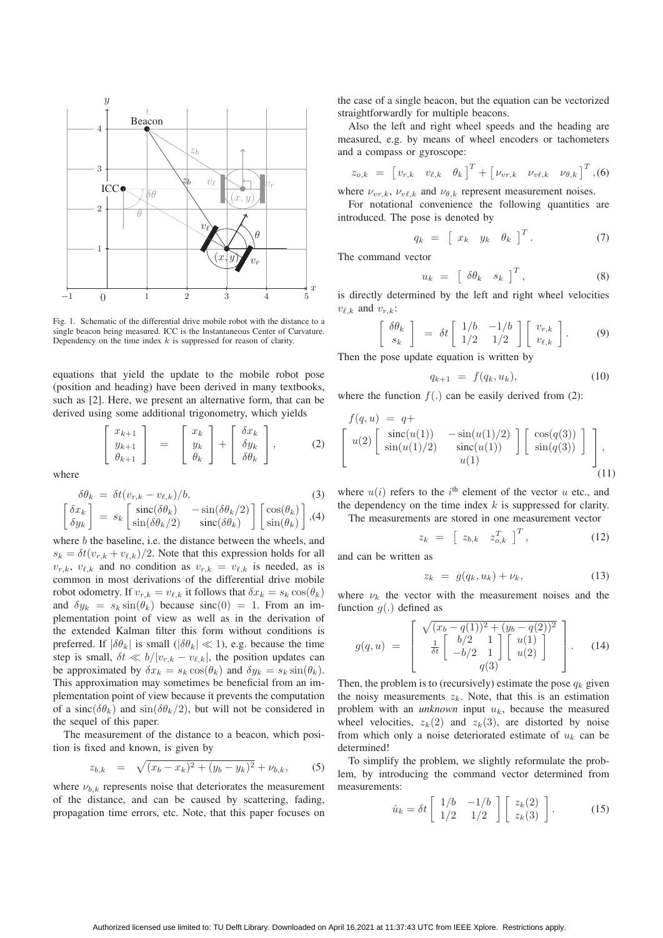

Fig. 1. Schematic of the differential drive mobile robot with the distance to a single beacon being measured. ICC is the Instantaneous Center of Curvature. Dependency on the time index  $k$  is suppressed for reason of clarity.

equations that yield the update to the mobile robot pose (position and heading) have been derived in many textbooks, such as [2]. Here, we present an alternative form, that can be derived using some additional trigonometry, which yields

$$
\begin{bmatrix} x_{k+1} \\ y_{k+1} \\ \theta_{k+1} \end{bmatrix} = \begin{bmatrix} x_k \\ y_k \\ \theta_k \end{bmatrix} + \begin{bmatrix} \delta x_k \\ \delta y_k \\ \delta \theta_k \end{bmatrix}, \qquad (2)
$$

where

$$
\delta\theta_k = \delta t(v_{r,k} - v_{\ell,k})/b,
$$
\n
$$
\begin{bmatrix}\n\delta x_k \\
\delta v_r\n\end{bmatrix} = s_k \begin{bmatrix}\n\sin(\delta\theta_k) & -\sin(\delta\theta_k/2) \\
\sin(\delta\theta_k/2) & \sin(\delta\theta_k)\n\end{bmatrix} \begin{bmatrix}\n\cos(\theta_k) \\
\sin(\theta_k)\n\end{bmatrix}, (4)
$$

$$
\begin{bmatrix} \frac{\partial x_k}{\partial y_k} \end{bmatrix} = s_k \begin{bmatrix} \text{sinc}(\frac{\partial \theta_k}{\partial y_k}) & -\text{sinc}(\frac{\partial \theta_k}{\partial z}) \\ \sin(\frac{\partial \theta_k}{2}) & \text{sinc}(\frac{\partial \theta_k}{\partial y_k}) \end{bmatrix} \begin{bmatrix} \cos(\theta_k) \\ \sin(\theta_k) \end{bmatrix}, (4)
$$

where b the baseline, i.e. the distance between the wheels, and  $\varepsilon_1 = \delta t(v_1 + v_2) / 2$ . Note that this expression holds for all  $s_k = \delta t (v_{r,k} + v_{\ell,k})/2$ . Note that this expression holds for all<br> $v_{r,k} = v_{\ell,k}$  is needed as is  $v_{r,k}$ ,  $v_{\ell,k}$  and no condition as  $v_{r,k} = v_{\ell,k}$  is needed, as is common in most derivations of the differential drive mobile common in most derivations of the differential drive mobile robot odometry. If  $v_{r,k} = v_{\ell,k}$  it follows that  $\delta x_k = s_k \cos(\theta_k)$ <br>and  $\delta u_k = s_k \sin(\theta_k)$  because  $\sin(0) = 1$ . From an imand  $\delta y_k = s_k \sin(\theta_k)$  because  $\sin(0) = 1$ . From an implementation point of view as well as in the derivation of the extended Kalman filter this form without conditions is preferred. If  $|\delta \theta_k|$  is small  $(|\delta \theta_k| \ll 1)$ , e.g. because the time step is small,  $\delta t \ll b/|v_{r,k} - v_{\ell,k}|$ , the position updates can<br>be approximated by  $\delta x_{r} = s_1 \cos(\theta_1)$  and  $\delta u_{r} = s_2 \sin(\theta_1)$ . be approximated by  $\delta x_k = s_k \cos(\theta_k)$  and  $\delta y_k = s_k \sin(\theta_k)$ . This approximation may sometimes be beneficial from an implementation point of view because it prevents the computation of a sinc $(\delta \theta_k)$  and sin $(\delta \theta_k/2)$ , but will not be considered in the sequel of this paper.

The measurement of the distance to a beacon, which position is fixed and known, is given by

$$
z_{b,k} = \sqrt{(x_b - x_k)^2 + (y_b - y_k)^2} + \nu_{b,k},
$$
 (5)

where  $\nu_{b,k}$  represents noise that deteriorates the measurement of the distance, and can be caused by scattering, fading, propagation time errors, etc. Note, that this paper focuses on

the case of a single beacon, but the equation can be vectorized straightforwardly for multiple beacons.

Also the left and right wheel speeds and the heading are measured, e.g. by means of wheel encoders or tachometers and a compass or gyroscope:

$$
z_{o,k} = \begin{bmatrix} v_{r,k} & v_{\ell,k} & \theta_k \end{bmatrix}^T + \begin{bmatrix} v_{vr,k} & v_{v\ell,k} & v_{\theta,k} \end{bmatrix}^T, (6)
$$

where  $\nu_{vr,k}$ ,  $\nu_{v\ell,k}$  and  $\nu_{\theta,k}$  represent measurement noises.<br>For notational convenience the following quantities

For notational convenience the following quantities are introduced. The pose is denoted by

$$
q_k = \begin{bmatrix} x_k & y_k & \theta_k \end{bmatrix}^T. \tag{7}
$$

The command vector

$$
u_k = \begin{bmatrix} \delta \theta_k & s_k \end{bmatrix}^T, \tag{8}
$$

is directly determined by the left and right wheel velocities  $v_{\ell,k}$  and  $v_{r,k}$ :

$$
\begin{bmatrix}\n\delta\theta_k \\
s_k\n\end{bmatrix} = \delta t \begin{bmatrix}\n1/b & -1/b \\
1/2 & 1/2\n\end{bmatrix} \begin{bmatrix}\nv_{r,k} \\
v_{\ell,k}\n\end{bmatrix}.
$$
\n(9)

Then the pose update equation is written by

$$
q_{k+1} = f(q_k, u_k), \tag{10}
$$

where the function  $f(.)$  can be easily derived from (2):

$$
f(q, u) = q+
$$
  
\n
$$
\begin{bmatrix}\nu(2) \begin{bmatrix}\n\sin(cu(1)) & -\sin(u(1)/2) \\
\sin(u(1)/2) & \sin(c(u(1))\n\end{bmatrix}\n\begin{bmatrix}\n\cos(q(3)) \\
\sin(q(3))\n\end{bmatrix}\n\end{bmatrix},
$$
  
\n
$$
u(1)
$$
\n(11)

where  $u(i)$  refers to the i<sup>th</sup> element of the vector u etc., and<br>the dependency on the time index k is suppressed for clarity the dependency on the time index  $k$  is suppressed for clarity.

The measurements are stored in one measurement vector

$$
z_k = \begin{bmatrix} z_{b,k} & z_{o,k}^T \end{bmatrix}^T, \qquad (12)
$$

and can be written as

$$
z_k = g(q_k, u_k) + \nu_k, \tag{13}
$$

where  $\nu_k$  the vector with the measurement noises and the function  $g(.)$  defined as

$$
g(q, u) = \begin{bmatrix} \sqrt{(x_b - q(1))^2 + (y_b - q(2))^2} \\ \frac{1}{\delta t} \begin{bmatrix} b/2 & 1 \\ -b/2 & 1 \end{bmatrix} \begin{bmatrix} u(1) \\ u(2) \end{bmatrix} . \tag{14}
$$

Then, the problem is to (recursively) estimate the pose  $q_k$  given the noisy measurements  $z_k$ . Note, that this is an estimation problem with an *unknown* input  $u_k$ , because the measured wheel velocities,  $z_k(2)$  and  $z_k(3)$ , are distorted by noise from which only a noise deteriorated estimate of  $u_k$  can be determined!

To simplify the problem, we slightly reformulate the problem, by introducing the command vector determined from measurements:

$$
\hat{u}_k = \delta t \begin{bmatrix} 1/b & -1/b \\ 1/2 & 1/2 \end{bmatrix} \begin{bmatrix} z_k(2) \\ z_k(3) \end{bmatrix} . \tag{15}
$$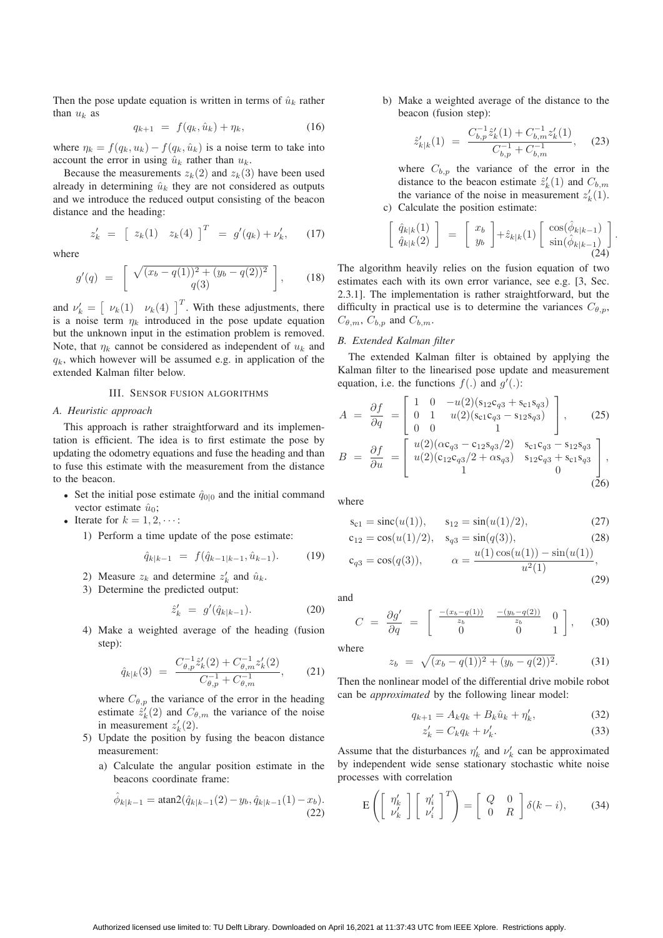Then the pose update equation is written in terms of  $\hat{u}_k$  rather than  $u_k$  as

$$
q_{k+1} = f(q_k, \hat{u}_k) + \eta_k, \tag{16}
$$

where  $\eta_k = f(q_k, u_k) - f(q_k, \hat{u}_k)$  is a noise term to take into account the error in using  $\hat{u}_k$  rather than  $u_k$ .

Because the measurements  $z_k(2)$  and  $z_k(3)$  have been used already in determining  $\hat{u}_k$  they are not considered as outputs and we introduce the reduced output consisting of the beacon distance and the heading:

$$
z'_{k} = [z_{k}(1) \quad z_{k}(4)]^{T} = g'(q_{k}) + \nu'_{k}, \qquad (17)
$$

where

$$
g'(q) = \begin{bmatrix} \sqrt{(x_b - q(1))^2 + (y_b - q(2))^2} \\ q(3) \end{bmatrix}, \quad (18)
$$

and  $\nu'_k = \begin{bmatrix} \nu_k(1) & \nu_k(4) \end{bmatrix}^T$ . With these adjustments, there is a noise term  $\eta_k$  introduced in the pose update equation but the unknown input in the estimation problem is removed. Note, that  $\eta_k$  cannot be considered as independent of  $u_k$  and  $q_k$ , which however will be assumed e.g. in application of the extended Kalman filter below.

## III. SENSOR FUSION ALGORITHMS

#### *A. Heuristic approach*

This approach is rather straightforward and its implementation is efficient. The idea is to first estimate the pose by updating the odometry equations and fuse the heading and than to fuse this estimate with the measurement from the distance to the beacon.

- Set the initial pose estimate  $\hat{q}_{0|0}$  and the initial command vector estimate  $\hat{u}_0$ ;
- Iterate for  $k = 1, 2, \cdots$ :
	- 1) Perform a time update of the pose estimate:

$$
\hat{q}_{k|k-1} = f(\hat{q}_{k-1|k-1}, \hat{u}_{k-1}). \tag{19}
$$

- 2) Measure  $z_k$  and determine  $z'_k$  and  $\hat{u}_k$ .<br>3) Determine the predicted output:
- 3) Determine the predicted output:

$$
\hat{z}'_k = g'(\hat{q}_{k|k-1}). \tag{20}
$$

4) Make a weighted average of the heading (fusion step):

$$
\hat{q}_{k|k}(3) = \frac{C_{\theta,p}^{-1} \hat{z}_k'(2) + C_{\theta,m}^{-1} z_k'(2)}{C_{\theta,p}^{-1} + C_{\theta,m}^{-1}},
$$
 (21)

where  $C_{\theta,p}$  the variance of the error in the heading estimate  $\hat{z}'_k(2)$  and  $C_{\theta,m}$  the variance of the noise<br>in measurement  $z'(2)$ in measurement  $z'_{k}(2)$ .<br>Undate the position by

- 5) Update the position by fusing the beacon distance measurement:
	- a) Calculate the angular position estimate in the beacons coordinate frame:

$$
\hat{\phi}_{k|k-1} = \operatorname{atan2}(\hat{q}_{k|k-1}(2) - y_b, \hat{q}_{k|k-1}(1) - x_b).
$$
\n(22)

b) Make a weighted average of the distance to the beacon (fusion step):

$$
\hat{z}'_{k|k}(1) = \frac{C_{b,p}^{-1} \hat{z}'_k(1) + C_{b,m}^{-1} z'_k(1)}{C_{b,p}^{-1} + C_{b,m}^{-1}}, \quad (23)
$$

where  $C_{b,p}$  the variance of the error in the distance to the beacon estimate  $\hat{z}'_k(1)$  and  $C_{b,m}$ <br>the variance of the poise in measurement  $z'(1)$ the variance of the noise in measurement  $z'_{k}(1)$ .<br>Calculate the position estimate: c) Calculate the position estimate:

$$
\begin{bmatrix}\n\hat{q}_{k|k}(1) \\
\hat{q}_{k|k}(2)\n\end{bmatrix} = \begin{bmatrix}\nx_b \\
y_b\n\end{bmatrix} + \hat{z}_{k|k}(1) \begin{bmatrix}\n\cos(\hat{\phi}_{k|k-1}) \\
\sin(\hat{\phi}_{k|k-1}) \\
\cos(\hat{\phi}_{k|k-1})\n\end{bmatrix}
$$
\n(24)

The algorithm heavily relies on the fusion equation of two estimates each with its own error variance, see e.g. [3, Sec. 2.3.1]. The implementation is rather straightforward, but the difficulty in practical use is to determine the variances  $C_{\theta,p}$ ,  $C_{\theta,m}$ ,  $C_{b,p}$  and  $C_{b,m}$ .

# *B. Extended Kalman filter*

The extended Kalman filter is obtained by applying the Kalman filter to the linearised pose update and measurement equation, i.e. the functions  $f(.)$  and  $g'(.)$ :

$$
A = \frac{\partial f}{\partial q} = \begin{bmatrix} 1 & 0 & -u(2)(s_{12}c_{q3} + s_{c1}s_{q3}) \\ 0 & 1 & u(2)(s_{c1}c_{q3} - s_{12}s_{q3}) \\ 0 & 0 & 1 \end{bmatrix}, \quad (25)
$$

$$
B = \frac{\partial f}{\partial u} = \begin{bmatrix} u(2)(\alpha c_{q3} - c_{12}s_{q3}/2) & s_{c1}c_{q3} - s_{12}s_{q3} \\ u(2)(c_{12}c_{q3}/2 + \alpha s_{q3}) & s_{12}c_{q3} + s_{c1}s_{q3} \\ 1 & 0 \end{bmatrix}, \quad (26)
$$

where

$$
s_{c1} = \text{sinc}(u(1)), \qquad s_{12} = \text{sin}(u(1)/2), \tag{27}
$$

$$
c_{12} = \cos(u(1)/2), \quad s_{q3} = \sin(q(3)), \tag{28}
$$

$$
c_{q3} = \cos(q(3)), \qquad \alpha = \frac{u(1)\cos(u(1)) - \sin(u(1))}{u^2(1)},
$$
\n(29)

and

$$
C = \frac{\partial g'}{\partial q} = \begin{bmatrix} \frac{-(x_b - q(1))}{z_b} & \frac{-(y_b - q(2))}{z_b} & 0\\ 0 & 0 & 1 \end{bmatrix}, \quad (30)
$$

where

$$
z_b = \sqrt{(x_b - q(1))^2 + (y_b - q(2))^2}.
$$
 (31)

Then the nonlinear model of the differential drive mobile robot can be *approximated* by the following linear model:

$$
q_{k+1} = A_k q_k + B_k \hat{u}_k + \eta'_k, \tag{32}
$$

$$
z'_k = C_k q_k + \nu'_k. \tag{33}
$$

Assume that the disturbances  $\eta'_{k}$  and  $\nu'_{k}$  can be approximated<br>by independent wide sense stationary stochastic white noise by independent wide sense stationary stochastic white noise processes with correlation

$$
E\left(\left[\begin{array}{c} \eta_k'\\ \nu_k' \end{array}\right]\left[\begin{array}{c} \eta_i'\\ \nu_i' \end{array}\right]^T\right) = \left[\begin{array}{cc} Q & 0\\ 0 & R \end{array}\right]\delta(k-i),\tag{34}
$$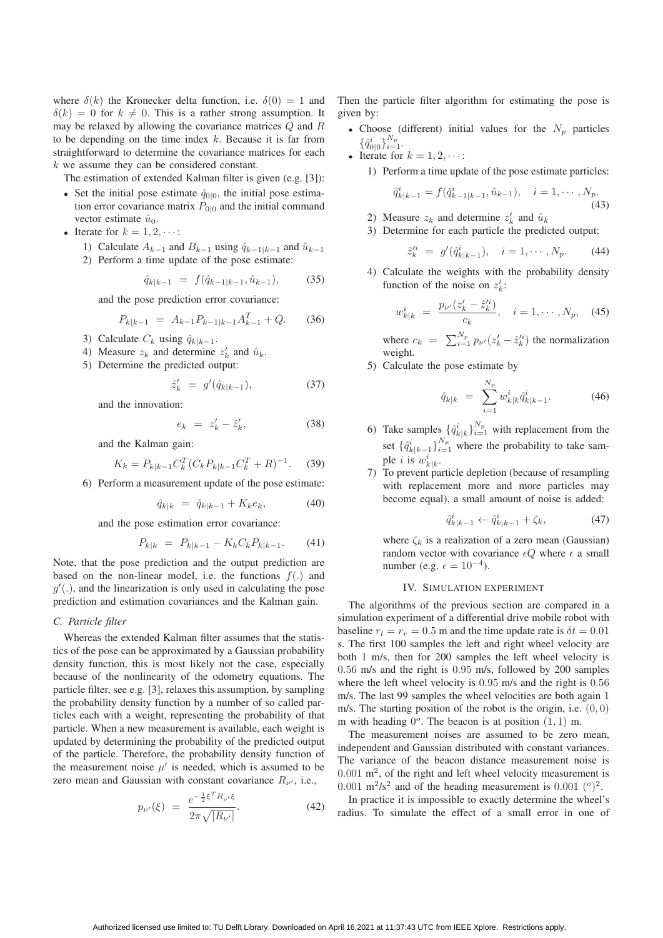where  $\delta(k)$  the Kronecker delta function, i.e.  $\delta(0) = 1$  and  $\delta(k)=0$  for  $k \neq 0$ . This is a rather strong assumption. It may be relaxed by allowing the covariance matrices Q and R to be depending on the time index  $k$ . Because it is far from straightforward to determine the covariance matrices for each  $k$  we assume they can be considered constant.

The estimation of extended Kalman filter is given (e.g. [3]):

- Set the initial pose estimate  $\hat{q}_{0|0}$ , the initial pose estimation error covariance matrix  $P_{0|0}$  and the initial command vector estimate  $\hat{u}_0$ .
- Iterate for  $k = 1, 2, \cdots$ :
	- 1) Calculate  $A_{k-1}$  and  $B_{k-1}$  using  $\hat{q}_{k-1|k-1}$  and  $\hat{u}_{k-1}$
	- 2) Perform a time update of the pose estimate:

$$
\hat{q}_{k|k-1} = f(\hat{q}_{k-1|k-1}, \hat{u}_{k-1}), \quad (35)
$$

and the pose prediction error covariance:

$$
P_{k|k-1} = A_{k-1} P_{k-1|k-1} A_{k-1}^T + Q.
$$
 (36)

- 3) Calculate  $C_k$  using  $\hat{q}_{k|k-1}$ .
- 4) Measure  $z_k$  and determine  $z'_k$  and  $\hat{u}_k$ .<br>5) Determine the predicted output:

 $\hat{z}'_k$ 

5) Determine the predicted output:

$$
k' = g'(\hat{q}_{k|k-1}), \tag{37}
$$

and the innovation:

$$
e_k = z'_k - \hat{z}'_k,\tag{38}
$$

and the Kalman gain:

$$
K_k = P_{k|k-1} C_k^T (C_k P_{k|k-1} C_k^T + R)^{-1}.
$$
 (39)

6) Perform a measurement update of the pose estimate:

$$
\hat{q}_{k|k} = \hat{q}_{k|k-1} + K_k e_k, \tag{40}
$$

and the pose estimation error covariance:

$$
P_{k|k} = P_{k|k-1} - K_k C_k P_{k|k-1}.
$$
 (41)

Note, that the pose prediction and the output prediction are based on the non-linear model, i.e. the functions  $f(.)$  and  $g'$ (.), and the linearization is only used in calculating the pose<br>prediction and estimation covariances and the Kalman gain prediction and estimation covariances and the Kalman gain.

### *C. Particle filter*

Whereas the extended Kalman filter assumes that the statistics of the pose can be approximated by a Gaussian probability density function, this is most likely not the case, especially because of the nonlinearity of the odometry equations. The particle filter, see e.g. [3], relaxes this assumption, by sampling the probability density function by a number of so called particles each with a weight, representing the probability of that particle. When a new measurement is available, each weight is updated by determining the probability of the predicted output of the particle. Therefore, the probability density function of the measurement noise  $\mu'$  is needed, which is assumed to be<br>zero mean and Gaussian with constant covariance  $R_{\ell}$  i.e. zero mean and Gaussian with constant covariance  $R_{\nu'}$ , i.e.,

$$
p_{\nu'}(\xi) = \frac{e^{-\frac{1}{2}\xi^T R_{\nu'}\xi}}{2\pi\sqrt{|R_{\nu'}|}}.
$$
 (42)

 $2.7$ 

Then the particle filter algorithm for estimating the pose is given by:

- Choose (different) initial values for the  $N_p$  particles  $\{\hat{q}^i_{0|0}\}_{i=1}^{N_p}$ .<br>Iterate for
- Iterate for  $k = 1, 2, \dots$ : 1) Perform a time update of the pose estimate particles:

$$
\hat{q}_{k|k-1}^i = f(\hat{q}_{k-1|k-1}^i, \hat{u}_{k-1}), \quad i = 1, \cdots, N_p.
$$
\n(43)

- 2) Measure  $z_k$  and determine  $z'_k$  and  $\hat{u}_k$ <br>3) Determine for each particle the predi
- 3) Determine for each particle the predicted output:

$$
\hat{z}'^i_k = g'(\hat{q}^i_{k|k-1}), \quad i = 1, \cdots, N_p. \tag{44}
$$

4) Calculate the weights with the probability density function of the noise on  $z'_k$ :

$$
w_{k|k}^i = \frac{p_{\nu'}(z_k' - \hat{z}_k'^i)}{c_k}, \quad i = 1, \cdots, N_p, \quad (45)
$$

where  $c_k = \sum_{i=1}^{N_p} p_{\nu'}(z'_k - \hat{z}'^i_k)$  the normalization weight.

5) Calculate the pose estimate by

$$
\hat{q}_{k|k} = \sum_{i=1}^{N_p} w_{k|k}^i \hat{q}_{k|k-1}^i.
$$
 (46)

- 6) Take samples  $\{\hat{q}_k^i|_k\}_{i=1}^{N_p}$  with replacement from the set  $\{\hat{q}_{k|k-1}^i\}_{i=1}^{N_p}$  where the probability to take sample *i* is  $w_{k|k}^i$ .<br>To prevent pa
- 7) To prevent particle depletion (because of resampling with replacement more and more particles may become equal), a small amount of noise is added:

$$
\hat{q}_{k|k-1}^i \leftarrow \hat{q}_{k|k-1}^i + \zeta_k,\tag{47}
$$

where  $\zeta_k$  is a realization of a zero mean (Gaussian) random vector with covariance  $\epsilon Q$  where  $\epsilon$  a small number (e.g.  $\epsilon = 10^{-4}$ ).

#### IV. SIMULATION EXPERIMENT

The algorithms of the previous section are compared in a simulation experiment of a differential drive mobile robot with baseline  $r_l = r_r = 0.5$  m and the time update rate is  $\delta t = 0.01$ s. The first 100 samples the left and right wheel velocity are both 1 m/s, then for 200 samples the left wheel velocity is <sup>0</sup>.<sup>56</sup> m/s and the right is <sup>0</sup>.<sup>95</sup> m/s, followed by 200 samples where the left wheel velocity is <sup>0</sup>.<sup>95</sup> m/s and the right is <sup>0</sup>.<sup>56</sup> m/s. The last 99 samples the wheel velocities are both again 1 m/s. The starting position of the robot is the origin, i.e.  $(0, 0)$ m with heading  $0^{\circ}$ . The beacon is at position  $(1, 1)$  m.

The measurement noises are assumed to be zero mean, independent and Gaussian distributed with constant variances. The variance of the beacon distance measurement noise is  $0.001 \text{ m}^2$ , of the right and left wheel velocity measurement is 0.001 m<sup>2</sup>/s<sup>2</sup> and of the heading measurement is 0.001 ( $\degree$ )<sup>2</sup>.

In practice it is impossible to exactly determine the wheel's radius. To simulate the effect of a small error in one of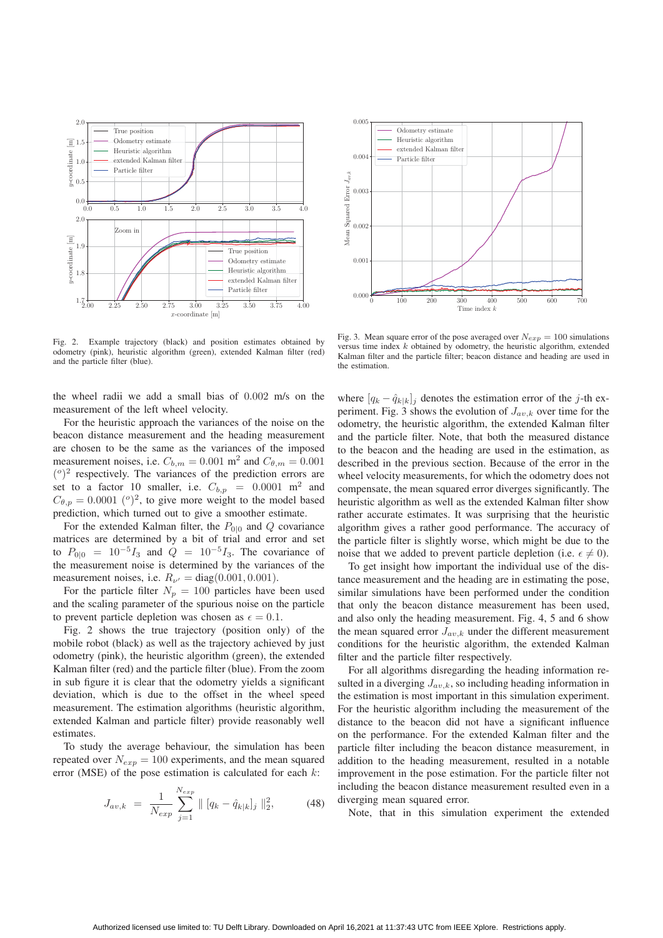

Fig. 2. Example trajectory (black) and position estimates obtained by odometry (pink), heuristic algorithm (green), extended Kalman filter (red) and the particle filter (blue).

the wheel radii we add a small bias of <sup>0</sup>.<sup>002</sup> m/s on the measurement of the left wheel velocity.

For the heuristic approach the variances of the noise on the beacon distance measurement and the heading measurement are chosen to be the same as the variances of the imposed measurement noises, i.e.  $C_{b,m} = 0.001$  m<sup>2</sup> and  $C_{\theta,m} = 0.001$  $(°)^2$  respectively. The variances of the prediction errors are set to a factor 10 smaller, i.e.  $C_{b,p} = 0.0001 \text{ m}^2$  and  $C_{\theta,p} = 0.0001$  (°)<sup>2</sup>, to give more weight to the model based prediction, which turned out to give a smoother estimate.

For the extended Kalman filter, the  $P_{0|0}$  and Q covariance matrices are determined by a bit of trial and error and set to  $P_{0|0} = 10^{-5}I_3$  and  $Q = 10^{-5}I_3$ . The covariance of the measurement noise is determined by the variances of the measurement noises, i.e.  $R_{\nu'} = \text{diag}(0.001, 0.001)$ .<br>For the particle filter  $N = 100$  particles have

For the particle filter  $N_p = 100$  particles have been used and the scaling parameter of the spurious noise on the particle to prevent particle depletion was chosen as  $\epsilon = 0.1$ .

Fig. 2 shows the true trajectory (position only) of the mobile robot (black) as well as the trajectory achieved by just odometry (pink), the heuristic algorithm (green), the extended Kalman filter (red) and the particle filter (blue). From the zoom in sub figure it is clear that the odometry yields a significant deviation, which is due to the offset in the wheel speed measurement. The estimation algorithms (heuristic algorithm, extended Kalman and particle filter) provide reasonably well estimates.

To study the average behaviour, the simulation has been repeated over  $N_{exp} = 100$  experiments, and the mean squared error (MSE) of the pose estimation is calculated for each  $k$ :

$$
J_{av,k} = \frac{1}{N_{exp}} \sum_{j=1}^{N_{exp}} ||[q_k - \hat{q}_{k|k}]_j||_2^2, \qquad (48)
$$



Fig. 3. Mean square error of the pose averaged over  $N_{exp} = 100$  simulations versus time index  $k$  obtained by odometry, the heuristic algorithm, extended Kalman filter and the particle filter; beacon distance and heading are used in the estimation.

where  $[q_k - \hat{q}_{k|k}]_j$  denotes the estimation error of the j-th experiment. Fig. 3 shows the evolution of  $J_{av,k}$  over time for the odometry, the heuristic algorithm, the extended Kalman filter and the particle filter. Note, that both the measured distance to the beacon and the heading are used in the estimation, as described in the previous section. Because of the error in the wheel velocity measurements, for which the odometry does not compensate, the mean squared error diverges significantly. The heuristic algorithm as well as the extended Kalman filter show rather accurate estimates. It was surprising that the heuristic algorithm gives a rather good performance. The accuracy of the particle filter is slightly worse, which might be due to the noise that we added to prevent particle depletion (i.e.  $\epsilon \neq 0$ ).

To get insight how important the individual use of the distance measurement and the heading are in estimating the pose, similar simulations have been performed under the condition that only the beacon distance measurement has been used, and also only the heading measurement. Fig. 4, 5 and 6 show the mean squared error  $J_{av,k}$  under the different measurement conditions for the heuristic algorithm, the extended Kalman filter and the particle filter respectively.

For all algorithms disregarding the heading information resulted in a diverging  $J_{av,k}$ , so including heading information in the estimation is most important in this simulation experiment. For the heuristic algorithm including the measurement of the distance to the beacon did not have a significant influence on the performance. For the extended Kalman filter and the particle filter including the beacon distance measurement, in addition to the heading measurement, resulted in a notable improvement in the pose estimation. For the particle filter not including the beacon distance measurement resulted even in a diverging mean squared error.

Note, that in this simulation experiment the extended